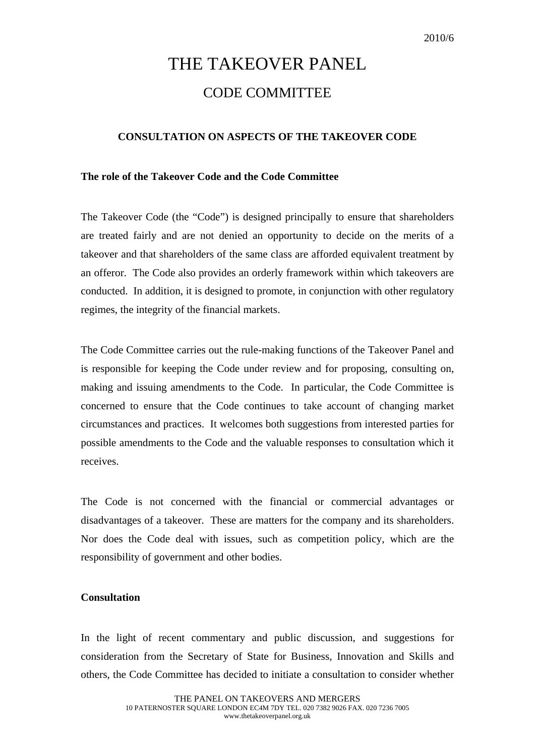## THE TAKEOVER PANEL CODE COMMITTEE

## **CONSULTATION ON ASPECTS OF THE TAKEOVER CODE**

## **The role of the Takeover Code and the Code Committee**

The Takeover Code (the "Code") is designed principally to ensure that shareholders are treated fairly and are not denied an opportunity to decide on the merits of a takeover and that shareholders of the same class are afforded equivalent treatment by an offeror. The Code also provides an orderly framework within which takeovers are conducted. In addition, it is designed to promote, in conjunction with other regulatory regimes, the integrity of the financial markets.

The Code Committee carries out the rule-making functions of the Takeover Panel and is responsible for keeping the Code under review and for proposing, consulting on, making and issuing amendments to the Code. In particular, the Code Committee is concerned to ensure that the Code continues to take account of changing market circumstances and practices. It welcomes both suggestions from interested parties for possible amendments to the Code and the valuable responses to consultation which it receives.

The Code is not concerned with the financial or commercial advantages or disadvantages of a takeover. These are matters for the company and its shareholders. Nor does the Code deal with issues, such as competition policy, which are the responsibility of government and other bodies.

## **Consultation**

In the light of recent commentary and public discussion, and suggestions for consideration from the Secretary of State for Business, Innovation and Skills and others, the Code Committee has decided to initiate a consultation to consider whether